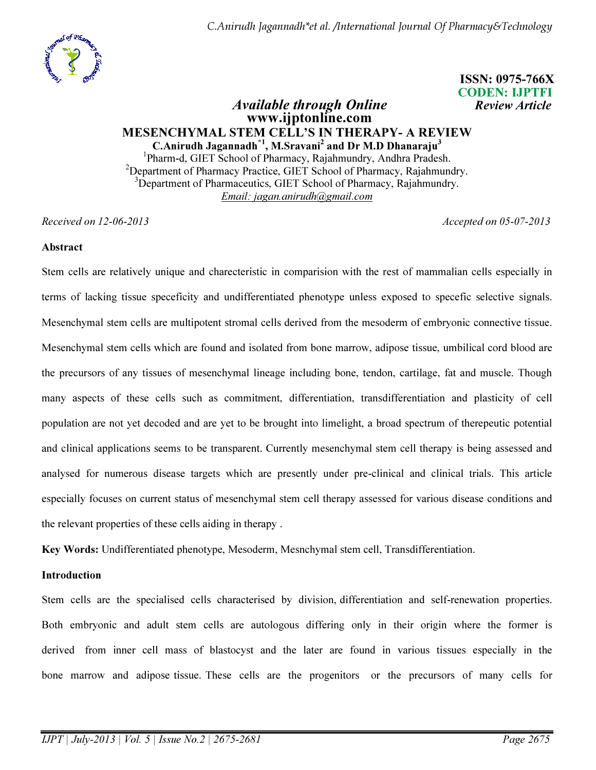C.Anirudh Jagannadh\*et al. /International Journal Of Pharmacy&Technology



 ISSN: 0975-766X CODEN: IJPTFI

## Available through Online **Review Article**  www.ijptonline.com MESENCHYMAL STEM CELL'S IN THERAPY- A REVIEW C.Anirudh Jagannadh<sup>\*1</sup>, M.Sravani<sup>2</sup> and Dr M.D Dhanaraju<sup>3</sup>

<sup>1</sup>Pharm-d, GIET School of Pharmacy, Rajahmundry, Andhra Pradesh. <sup>2</sup>Department of Pharmacy Practice, GIET School of Pharmacy, Rajahmundry.  $3$ Department of Pharmaceutics, GIET School of Pharmacy, Rajahmundry. *Email: jagan.anirudh@gmail.com*

*Received on 12-06-2013 Accepted on 05-07-2013*

## Abstract

Stem cells are relatively unique and charecteristic in comparision with the rest of mammalian cells especially in terms of lacking tissue speceficity and undifferentiated phenotype unless exposed to specefic selective signals. Mesenchymal stem cells are multipotent stromal cells derived from the mesoderm of embryonic connective tissue. Mesenchymal stem cells which are found and isolated from bone marrow, adipose tissue, umbilical cord blood are the precursors of any tissues of mesenchymal lineage including bone, tendon, cartilage, fat and muscle. Though many aspects of these cells such as commitment, differentiation, transdifferentiation and plasticity of cell population are not yet decoded and are yet to be brought into limelight, a broad spectrum of therepeutic potential and clinical applications seems to be transparent. Currently mesenchymal stem cell therapy is being assessed and analysed for numerous disease targets which are presently under pre-clinical and clinical trials. This article especially focuses on current status of mesenchymal stem cell therapy assessed for various disease conditions and the relevant properties of these cells aiding in therapy .

Key Words: Undifferentiated phenotype, Mesoderm, Mesnchymal stem cell, Transdifferentiation.

## **Introduction**

Stem cells are the specialised cells characterised by division, differentiation and self-renewation properties. Both embryonic and adult stem cells are autologous differing only in their origin where the former is derived from inner cell mass of blastocyst and the later are found in various tissues especially in the bone marrow and adipose tissue. These cells are the progenitors or the precursors of many cells for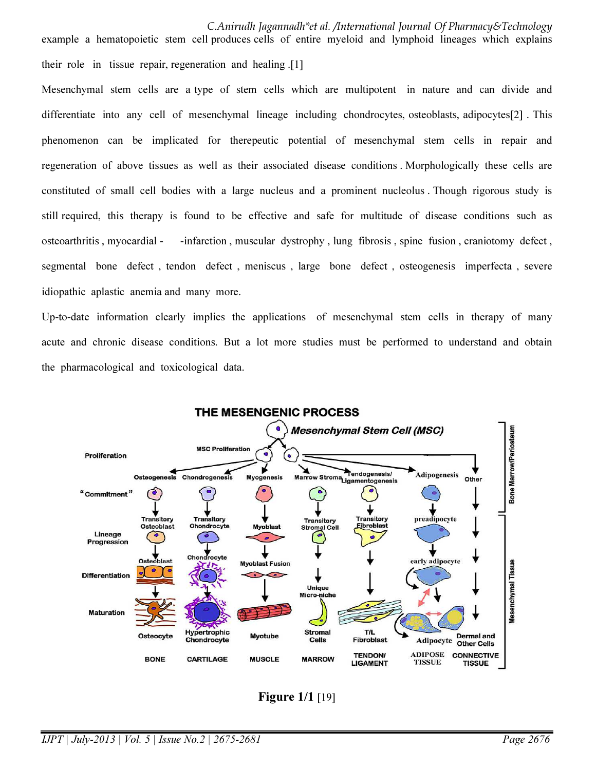Mesenchymal stem cells are a type of stem cells which are multipotent in nature and can divide and differentiate into any cell of mesenchymal lineage including chondrocytes, osteoblasts, adipocytes[2] . This phenomenon can be implicated for therepeutic potential of mesenchymal stem cells in repair and regeneration of above tissues as well as their associated disease conditions . Morphologically these cells are constituted of small cell bodies with a large nucleus and a prominent nucleolus . Though rigorous study is still required, this therapy is found to be effective and safe for multitude of disease conditions such as osteoarthritis , myocardial - -infarction , muscular dystrophy , lung fibrosis , spine fusion , craniotomy defect , segmental bone defect , tendon defect , meniscus , large bone defect , osteogenesis imperfecta , severe idiopathic aplastic anemia and many more.

Up-to-date information clearly implies the applications of mesenchymal stem cells in therapy of many acute and chronic disease conditions. But a lot more studies must be performed to understand and obtain the pharmacological and toxicological data.



**Figure 1/1 [19]**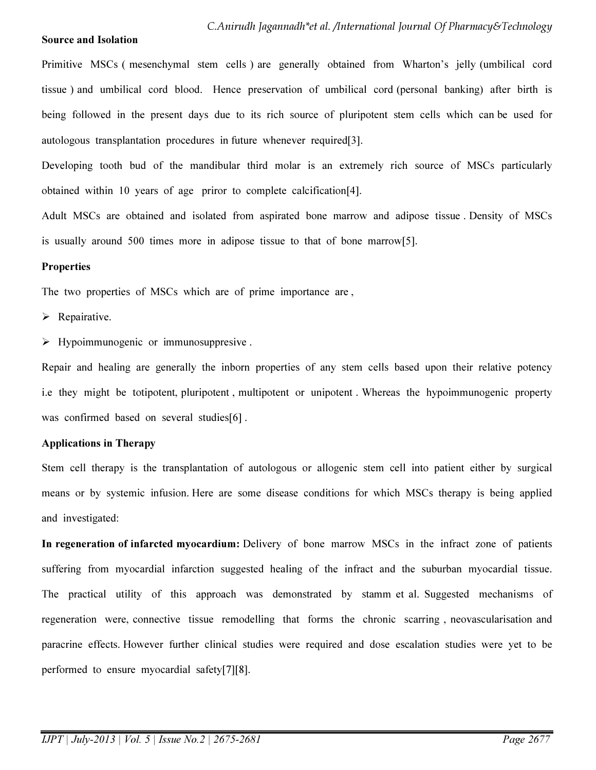#### Source and Isolation

Primitive MSCs ( mesenchymal stem cells ) are generally obtained from Wharton's jelly (umbilical cord tissue ) and umbilical cord blood. Hence preservation of umbilical cord (personal banking) after birth is being followed in the present days due to its rich source of pluripotent stem cells which can be used for autologous transplantation procedures in future whenever required[3].

Developing tooth bud of the mandibular third molar is an extremely rich source of MSCs particularly obtained within 10 years of age priror to complete calcification[4].

Adult MSCs are obtained and isolated from aspirated bone marrow and adipose tissue . Density of MSCs is usually around 500 times more in adipose tissue to that of bone marrow[5].

#### **Properties**

The two properties of MSCs which are of prime importance are ,

 $\triangleright$  Repairative.

 $\triangleright$  Hypoimmunogenic or immunosuppresive.

Repair and healing are generally the inborn properties of any stem cells based upon their relative potency i.e they might be totipotent, pluripotent , multipotent or unipotent . Whereas the hypoimmunogenic property was confirmed based on several studies[6].

### Applications in Therapy

Stem cell therapy is the transplantation of autologous or allogenic stem cell into patient either by surgical means or by systemic infusion. Here are some disease conditions for which MSCs therapy is being applied and investigated:

In regeneration of infarcted myocardium: Delivery of bone marrow MSCs in the infract zone of patients suffering from myocardial infarction suggested healing of the infract and the suburban myocardial tissue. The practical utility of this approach was demonstrated by stamm et al. Suggested mechanisms of regeneration were, connective tissue remodelling that forms the chronic scarring , neovascularisation and paracrine effects. However further clinical studies were required and dose escalation studies were yet to be performed to ensure myocardial safety[7][8].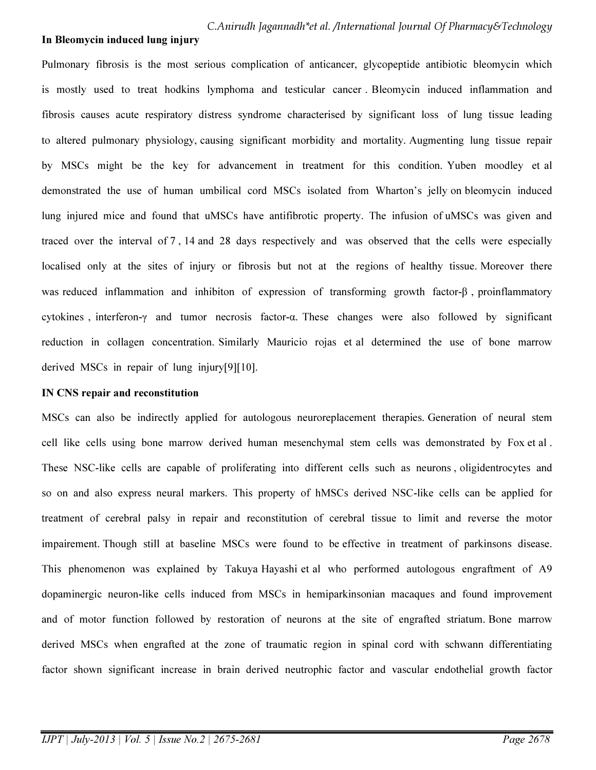#### In Bleomycin induced lung injury

Pulmonary fibrosis is the most serious complication of anticancer, glycopeptide antibiotic bleomycin which is mostly used to treat hodkins lymphoma and testicular cancer . Bleomycin induced inflammation and fibrosis causes acute respiratory distress syndrome characterised by significant loss of lung tissue leading to altered pulmonary physiology, causing significant morbidity and mortality. Augmenting lung tissue repair by MSCs might be the key for advancement in treatment for this condition. Yuben moodley et al demonstrated the use of human umbilical cord MSCs isolated from Wharton's jelly on bleomycin induced lung injured mice and found that uMSCs have antifibrotic property. The infusion of uMSCs was given and traced over the interval of 7 , 14 and 28 days respectively and was observed that the cells were especially localised only at the sites of injury or fibrosis but not at the regions of healthy tissue. Moreover there was reduced inflammation and inhibiton of expression of transforming growth factor-β , proinflammatory cytokines , interferon-γ and tumor necrosis factor-α. These changes were also followed by significant reduction in collagen concentration. Similarly Mauricio rojas et al determined the use of bone marrow derived MSCs in repair of lung injury[9][10].

#### IN CNS repair and reconstitution

MSCs can also be indirectly applied for autologous neuroreplacement therapies. Generation of neural stem cell like cells using bone marrow derived human mesenchymal stem cells was demonstrated by Fox et al . These NSC-like cells are capable of proliferating into different cells such as neurons , oligidentrocytes and so on and also express neural markers. This property of hMSCs derived NSC-like cells can be applied for treatment of cerebral palsy in repair and reconstitution of cerebral tissue to limit and reverse the motor impairement. Though still at baseline MSCs were found to be effective in treatment of parkinsons disease. This phenomenon was explained by Takuya Hayashi et al who performed autologous engraftment of A9 dopaminergic neuron-like cells induced from MSCs in hemiparkinsonian macaques and found improvement and of motor function followed by restoration of neurons at the site of engrafted striatum. Bone marrow derived MSCs when engrafted at the zone of traumatic region in spinal cord with schwann differentiating factor shown significant increase in brain derived neutrophic factor and vascular endothelial growth factor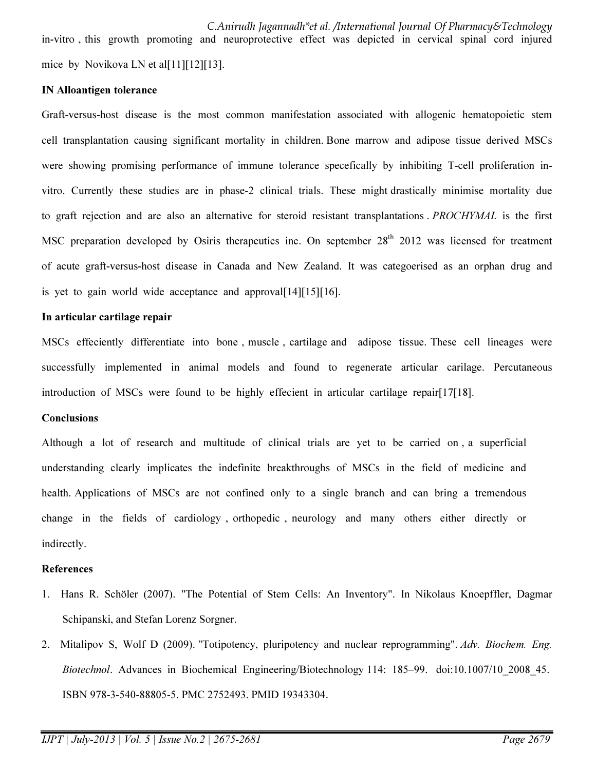C.Anirudh Jagannadh\*et al. /International Journal Of Pharmacy&Technology in-vitro , this growth promoting and neuroprotective effect was depicted in cervical spinal cord injured mice by Novikova LN et al[11][12][13].

#### IN Alloantigen tolerance

Graft-versus-host disease is the most common manifestation associated with allogenic hematopoietic stem cell transplantation causing significant mortality in children. Bone marrow and adipose tissue derived MSCs were showing promising performance of immune tolerance specefically by inhibiting T-cell proliferation invitro. Currently these studies are in phase-2 clinical trials. These might drastically minimise mortality due to graft rejection and are also an alternative for steroid resistant transplantations . *PROCHYMAL* is the first MSC preparation developed by Osiris therapeutics inc. On september  $28<sup>th</sup> 2012$  was licensed for treatment of acute graft-versus-host disease in Canada and New Zealand. It was categoerised as an orphan drug and is yet to gain world wide acceptance and approval  $[14][15][16]$ .

#### In articular cartilage repair

MSCs effeciently differentiate into bone , muscle , cartilage and adipose tissue. These cell lineages were successfully implemented in animal models and found to regenerate articular carilage. Percutaneous introduction of MSCs were found to be highly effecient in articular cartilage repair[17[18].

### **Conclusions**

Although a lot of research and multitude of clinical trials are yet to be carried on , a superficial understanding clearly implicates the indefinite breakthroughs of MSCs in the field of medicine and health. Applications of MSCs are not confined only to a single branch and can bring a tremendous change in the fields of cardiology , orthopedic , neurology and many others either directly or indirectly.

#### References

- 1. Hans R. Schöler (2007). "The Potential of Stem Cells: An Inventory". In Nikolaus Knoepffler, Dagmar Schipanski, and Stefan Lorenz Sorgner.
- 2. Mitalipov S, Wolf D (2009). "Totipotency, pluripotency and nuclear reprogramming". *Adv. Biochem. Eng. Biotechnol*. Advances in Biochemical Engineering/Biotechnology 114: 185–99. doi:10.1007/10\_2008\_45. ISBN 978-3-540-88805-5. PMC 2752493. PMID 19343304.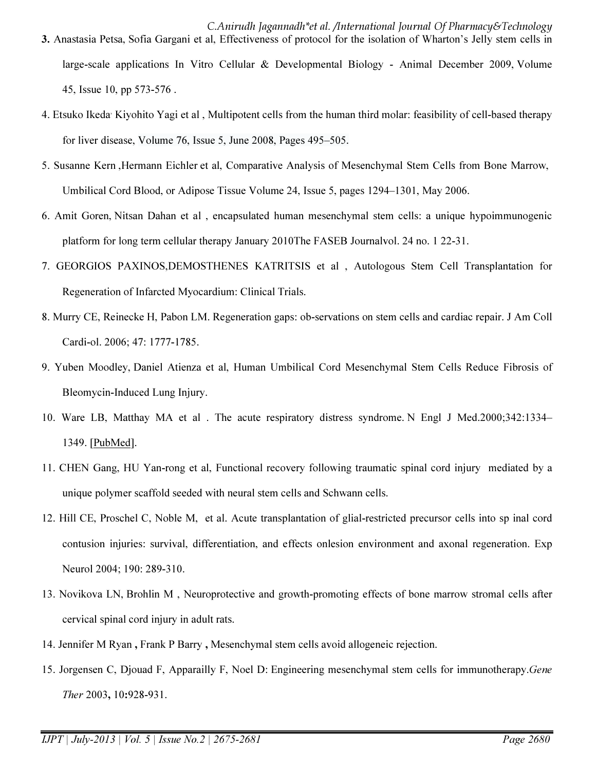- C.Anirudh Jagannadh\*et al. /International Journal Of Pharmacy&Technology 3. Anastasia Petsa, Sofia Gargani et al, Effectiveness of protocol for the isolation of Wharton's Jelly stem cells in large-scale applications In Vitro Cellular & Developmental Biology - Animal December 2009, Volume 45, Issue 10, pp 573-576 .
- 4. Etsuko Ikeda<sup>,</sup> Kiyohito Yagi et al, Multipotent cells from the human third molar: feasibility of cell-based therapy for liver disease, Volume 76, Issue 5, June 2008, Pages 495–505.
- 5. Susanne Kern ,Hermann Eichler et al, Comparative Analysis of Mesenchymal Stem Cells from Bone Marrow, Umbilical Cord Blood, or Adipose Tissue Volume 24, Issue 5, pages 1294–1301, May 2006.
- 6. Amit Goren, Nitsan Dahan et al , encapsulated human mesenchymal stem cells: a unique hypoimmunogenic platform for long term cellular therapy January 2010The FASEB Journalvol. 24 no. 1 22-31.
- 7. GEORGIOS PAXINOS,DEMOSTHENES KATRITSIS et al , Autologous Stem Cell Transplantation for Regeneration of Infarcted Myocardium: Clinical Trials.
- 8. Murry CE, Reinecke H, Pabon LM. Regeneration gaps: ob-servations on stem cells and cardiac repair. J Am Coll Cardi-ol. 2006; 47: 1777-1785.
- 9. Yuben Moodley, Daniel Atienza et al, Human Umbilical Cord Mesenchymal Stem Cells Reduce Fibrosis of Bleomycin-Induced Lung Injury.
- 10. Ware LB, Matthay MA et al . The acute respiratory distress syndrome. N Engl J Med.2000;342:1334– 1349. [PubMed].
- 11. CHEN Gang, HU Yan-rong et al, Functional recovery following traumatic spinal cord injury mediated by a unique polymer scaffold seeded with neural stem cells and Schwann cells.
- 12. Hill CE, Proschel C, Noble M, et al. Acute transplantation of glial-restricted precursor cells into sp inal cord contusion injuries: survival, differentiation, and effects onlesion environment and axonal regeneration. Exp Neurol 2004; 190: 289-310.
- 13. Novikova LN, Brohlin M , Neuroprotective and growth-promoting effects of bone marrow stromal cells after cervical spinal cord injury in adult rats.
- 14. Jennifer M Ryan , Frank P Barry , Mesenchymal stem cells avoid allogeneic rejection.
- 15. Jorgensen C, Djouad F, Apparailly F, Noel D: Engineering mesenchymal stem cells for immunotherapy.*Gene Ther* 2003, 10:928-931.